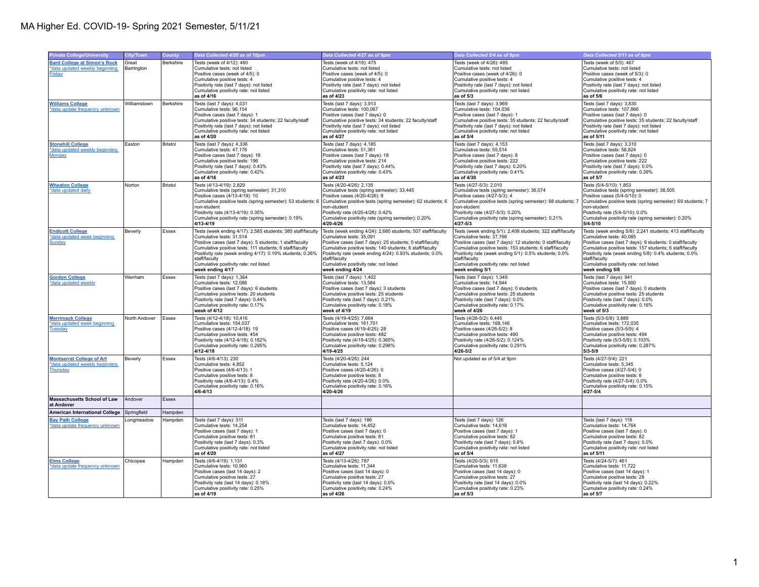| <b>Private College/University</b>                        | City/Town     | County    | Data Collected 4/20 as of 10pm                                                          | Data Collected 4/27 as of 9pm                                                          | Data Collected 5/4 as of 9pm                                                           | Data Collected 5/11 as of 9pm                                                         |
|----------------------------------------------------------|---------------|-----------|-----------------------------------------------------------------------------------------|----------------------------------------------------------------------------------------|----------------------------------------------------------------------------------------|---------------------------------------------------------------------------------------|
| <b>Bard College at Simon's Rock</b>                      | Great         | Berkshire | Tests (week of 4/12): 480                                                               | Tests (week of 4/19): 475                                                              | Tests (week of 4/26): 485                                                              | Tests (week of 5/3): 467                                                              |
| *data updated weekly beginning                           | Barrington    |           | Cumulative tests: not listed                                                            | Cumulative tests: not listed                                                           | Cumulative tests: not listed                                                           | Cumulative tests: not listed                                                          |
| Friday                                                   |               |           | Positive cases (week of 4/5): 0                                                         | Positive cases (week of 4/5): 0                                                        | Positive cases (week of 4/26): 0                                                       | Positive cases (week of 5/3): 0                                                       |
|                                                          |               |           | Cumulative positive tests: 4                                                            | Cumulative positive tests: 4                                                           | Cumulative positive tests: 4                                                           | Cumulative positive tests: 4                                                          |
|                                                          |               |           | Positivity rate (last 7 days): not listed                                               | Positivity rate (last 7 days): not listed                                              | Positivity rate (last 7 days): not listed                                              | Positivity rate (last 7 days): not listed                                             |
|                                                          |               |           | Cumulative positivity rate: not listed                                                  | Cumulative positivity rate: not listed                                                 | Cumulative positivity rate: not listed                                                 | Cumulative positivity rate: not listed                                                |
|                                                          |               |           | as of 4/16                                                                              | as of 4/23                                                                             | as of $5/3$                                                                            | as of 5/6                                                                             |
| <b>Williams College</b>                                  | Williamstown  | Berkshire | Tests (last 7 days): 4,031                                                              | Tests (last 7 days): 3,913                                                             | Tests (last 7 days): 3,969                                                             | Tests (last 7 days): 3,830                                                            |
| *data update frequency unknown                           |               |           | Cumulative tests: 96,154                                                                | Cumulative tests: 100,067                                                              | Cumulative tests: 104,036                                                              | Cumulative tests: 107,866                                                             |
|                                                          |               |           | Positive cases (last 7 days): 1                                                         | Positive cases (last 7 days): 0                                                        | Positive cases (last 7 days): 1                                                        | Positive cases (last 7 days): 0                                                       |
|                                                          |               |           | Cumulative positive tests: 34 students; 22 faculty/staff                                | Cumulative positive tests: 34 students; 22 faculty/staff                               | Cumulative positive tests: 35 students; 22 faculty/staff                               | Cumulative positive tests: 35 students; 22 faculty/staff                              |
|                                                          |               |           | Positivity rate (last 7 days): not listed                                               | Positivity rate (last 7 days): not listed                                              | Positivity rate (last 7 days): not listed                                              | Positivity rate (last 7 days): not listed                                             |
|                                                          |               |           | Cumulative positivity rate: not listed<br>as of 4/20                                    | Cumulative positivity rate: not listed<br>as of 4/27                                   | Cumulative positivity rate: not listed<br>as of 5/4                                    | Cumulative positivity rate: not listed<br>as of 5/11                                  |
|                                                          |               |           |                                                                                         |                                                                                        |                                                                                        |                                                                                       |
| <b>Stonehill College</b>                                 | Easton        | Bristol   | Tests (last 7 days): 4,336<br>Cumulative tests: 47,176                                  | Tests (last 7 days): 4,185<br>Cumulative tests: 51.361                                 | Tests (last 7 days): 4,153<br>Cumulative tests: 55.514                                 | Tests (last 7 days): 3,310<br>Cumulative tests: 58.824                                |
| *data updated weekly beginning<br><b>Monday</b>          |               |           | Positive cases (last 7 days): 18                                                        | Positive cases (last 7 days): 18                                                       | Positive cases (last 7 days): 8                                                        | Positive cases (last 7 days): 0                                                       |
|                                                          |               |           | Cumulative positive tests: 196                                                          | Cumulative positive tests: 214                                                         | Cumulative positive tests: 222                                                         | Cumulative positive tests: 222                                                        |
|                                                          |               |           | Positivity rate (last 7 days): 0.43%                                                    | Positivity rate (last 7 days): 0.44%                                                   | Positivity rate (last 7 days): 0.20%                                                   | Positivity rate (last 7 days): 0.0%                                                   |
|                                                          |               |           | Cumulative positivity rate: 0.42%                                                       | Cumulative positivity rate: 0.43%                                                      | Cumulative positivity rate: 0.41%                                                      | Cumulative positivity rate: 0.39%                                                     |
|                                                          |               |           | as of 4/16                                                                              | as of 4/23                                                                             | as of 4/30                                                                             | as of 5/7                                                                             |
| <b>Wheaton College</b>                                   | Norton        | Bristol   | Tests (4/13-4/19): 2,829                                                                | Tests (4/20-4/26): 2,135                                                               | Tests (4/27-5/3): 2,010                                                                | Tests (5/4-5/10): 1,853                                                               |
| *data updated daily                                      |               |           | Cumulative tests (spring semester): 31,310                                              | Cumulative tests (spring semester): 33,445                                             | Cumulative tests (spring semester): 36,074                                             | Cumulative tests (spring semester): 38,505                                            |
|                                                          |               |           | Positive cases (4/13-4/19): 10                                                          | Positive cases (4/20-4/26): 9                                                          | Positive cases (4/27-5/3): 4                                                           | Positive cases (5/4-5/10): 0                                                          |
|                                                          |               |           | Cumulative positive tests (spring semester): 53 students; 6                             | Cumulative positive tests (spring semester): 62 students; 6                            | Cumulative positive tests (spring semester): 68 students; 7                            | Cumulative positive tests (spring semester): 69 students; 7                           |
|                                                          |               |           | non-student                                                                             | non-student                                                                            | non-student                                                                            | non-student                                                                           |
|                                                          |               |           | Positivity rate (4/13-4/19): 0.35%                                                      | Positivity rate (4/20-4/26): 0.42%                                                     | Positivity rate (4/27-5/3): 0.20%                                                      | Positivity rate (5/4-5/10): 0.0%                                                      |
|                                                          |               |           | Cumulative positivity rate (spring semester): 0.19%<br>$4/13 - 4/19$                    | Cumulative positivity rate (spring semester): 0.20%<br>4/20-4/26                       | Cumulative positivity rate (spring semester): 0.21%<br>$4/27 - 5/3$                    | Cumulative positivity rate (spring semester): 0.20%<br>$5/4 - 5/10$                   |
|                                                          |               |           |                                                                                         |                                                                                        |                                                                                        |                                                                                       |
| <b>Endicott College</b>                                  | Beverly       | Essex     | Tests (week ending 4/17): 2,585 students; 385 staff/faculty<br>Cumulative tests: 31.514 | Tests (week ending 4/24): 2,680 students; 507 staff/faculty                            | Tests (week ending 5/1): 2,408 students; 322 staff/faculty                             | Tests (week ending 5/8): 2,241 students; 413 staff/faculty                            |
| *data updated week beginning                             |               |           | Positive cases (last 7 days): 5 students; 1 staff/faculty                               | Cumulative tests: 35.091<br>Positive cases (last 7 days): 25 students; 0 staff/faculty | Cumulative tests: 37.768<br>Positive cases (last 7 days): 12 students; 0 staff/faculty | Cumulative tests: 40.085<br>Positive cases (last 7 days): 9 students; 0 staff/faculty |
| Sunday                                                   |               |           | Cumulative positive tests: 111 students; 6 staff/faculty                                | Cumulative positive tests: 140 students; 6 staff/faculty                               | Cumulative positive tests: 153 students; 6 staff/faculty                               | Cumulative positive tests: 157 students; 6 staff/faculty                              |
|                                                          |               |           | Positivity rate (week ending 4/17): 0.19% students; 0.26%                               | Positivity rate (week ending 4/24): 0.93% students; 0.0%                               | Positivity rate (week ending 5/1): 0.5% students; 0.0%                                 | Positivity rate (week ending 5/8): 0.4% students; 0.0%                                |
|                                                          |               |           | staff/faculty                                                                           | staff/faculty                                                                          | staff/faculty                                                                          | staff/faculty                                                                         |
|                                                          |               |           | Cumulative positivity rate: not listed                                                  | Cumulative positivity rate: not listed                                                 | Cumulative positivity rate: not listed                                                 | Cumulative positivity rate: not listed                                                |
|                                                          |               |           | week ending 4/17                                                                        | week ending 4/24                                                                       | week ending 5/1                                                                        | week ending 5/8                                                                       |
| <b>Gordon College</b>                                    | Wenham        | Essex     | Tests (last 7 days): 1,364                                                              | Tests (last 7 days): 1,402                                                             | Tests (last 7 days): 1,349                                                             | Tests (last 7 days): 941                                                              |
| *data updated weekly                                     |               |           | Cumulative tests: 12.086                                                                | Cumulative tests: 13.584                                                               | Cumulative tests: 14.944                                                               | Cumulative tests: 15.900                                                              |
|                                                          |               |           | Positive cases (last 7 days): 6 students                                                | Positive cases (last 7 days): 3 students                                               | Positive cases (last 7 days): 0 students                                               | Positive cases (last 7 days): 0 students                                              |
|                                                          |               |           | Cumulative positive tests: 20 students                                                  | Cumulative positive tests: 25 students                                                 | Cumulative positive tests: 25 students                                                 | Cumulative positive tests: 25 students                                                |
|                                                          |               |           | Positivity rate (last 7 days): 0.44%                                                    | Positivity rate (last 7 days): 0.21%                                                   | Positivity rate (last 7 days): 0.0%                                                    | Positivity rate (last 7 days): 0.0%                                                   |
|                                                          |               |           | Cumulative positivity rate: 0.17%<br>week of 4/12                                       | Cumulative positivity rate: 0.18%<br>week of 4/19                                      | Cumulative positivity rate: 0.17%<br>week of 4/26                                      | Cumulative positivity rate: 0.16%<br>week of 5/3                                      |
|                                                          |               |           |                                                                                         |                                                                                        |                                                                                        |                                                                                       |
| <b>Merrimack College</b><br>*data updated week beginning | North Andover | Essex     | Tests (4/12-4/18): 10,416<br>Cumulative tests: 154.037                                  | Tests (4/19-4/25): 7,664<br>Cumulative tests: 161.701                                  | Tests (4/26-5/2): 6,445<br>Cumulative tests: 168.146                                   | Tests (5/3-5/9): 3,889<br>Cumulative tests: 172.035                                   |
| <b>Tuesday</b>                                           |               |           | Positive cases (4/12-4/18): 19                                                          | Positive cases (4/19-4/25): 28                                                         | Positive cases (4/26-5/2): 8                                                           | Positive cases (5/3-5/9): 4                                                           |
|                                                          |               |           | Cumulative positive tests: 454                                                          | Cumulative positive tests: 482                                                         | Cumulative positive tests: 490                                                         | Cumulative positive tests: 494                                                        |
|                                                          |               |           | Positivity rate (4/12-4/18): 0.182%                                                     | Positivity rate (4/19-4/25): 0.365%                                                    | Positivity rate (4/26-5/2): 0.124%                                                     | Positivity rate (5/3-5/9): 0.103%                                                     |
|                                                          |               |           | Cumulative positivity rate: 0.295%                                                      | Cumulative positivity rate: 0.298%                                                     | Cumulative positivity rate: 0.291%                                                     | Cumulative positivity rate: 0.287%                                                    |
|                                                          |               |           | $4/12 - 4/18$                                                                           | 4/19-4/25                                                                              | $4/26 - 5/2$                                                                           | 5/3-5/9                                                                               |
| <b>Montserrat College of Art</b>                         | Beverly       | Essex     | Tests (4/6-4/13): 230                                                                   | Tests (4/20-4/26): 244                                                                 | Not updated as of 5/4 at 9pm                                                           | Tests (4/27-5/4): 221                                                                 |
| *data updated weekly beginning                           |               |           | Cumulative tests: 4,852                                                                 | Cumulative tests: 5,124                                                                |                                                                                        | Cumulative tests: 5,345                                                               |
| Thursday                                                 |               |           | Positive cases (4/6-4/13): 1                                                            | Positive cases (4/20-4/26): 0                                                          |                                                                                        | Positive cases (4/27-5/4): 0                                                          |
|                                                          |               |           | Cumulative positive tests: 8                                                            | Cumulative positive tests: 8                                                           |                                                                                        | Cumulative positive tests: 8                                                          |
|                                                          |               |           | Positivity rate (4/6-4/13): 0.4%                                                        | Positivity rate (4/20-4/26): 0.0%                                                      |                                                                                        | Positivity rate (4/27-5/4): 0.0%                                                      |
|                                                          |               |           | Cumulative positivity rate: 0.16%<br>4/6-4/13                                           | Cumulative positivity rate: 0.16%<br>4/20-4/26                                         |                                                                                        | Cumulative positivity rate: 0.15%<br>4/27-5/4                                         |
|                                                          |               |           |                                                                                         |                                                                                        |                                                                                        |                                                                                       |
| <b>Massachusetts School of Law</b><br>at Andover         | Andover       | Essex     |                                                                                         |                                                                                        |                                                                                        |                                                                                       |
| <b>American International College</b>                    | Springfield   | Hampden   |                                                                                         |                                                                                        |                                                                                        |                                                                                       |
| <b>Bay Path College</b>                                  |               | Hampden   | Tests (last 7 days): 311                                                                | Tests (last 7 days): 186                                                               | Tests (last 7 days): 126                                                               | Tests (last 7 days): 118                                                              |
| data update frequency unknown                            | Longmeadow    |           | Cumulative tests: 14,254                                                                | Cumulative tests: 14,452                                                               | Cumulative tests: 14,618                                                               | Cumulative tests: 14,764                                                              |
|                                                          |               |           | Positive cases (last 7 days): 1                                                         | Positive cases (last 7 days): 0                                                        | Positive cases (last 7 days): 1                                                        | Positive cases (last 7 days): 0                                                       |
|                                                          |               |           | Cumulative positive tests: 81                                                           | Cumulative positive tests: 81                                                          | Cumulative positive tests: 82                                                          | Cumulative positive tests: 82                                                         |
|                                                          |               |           | Positivity rate (last 7 days): 0.3%                                                     | Positivity rate (last 7 days): 0.0%                                                    | Positivity rate (last 7 days): 0.8%                                                    | Positivity rate (last 7 days): 0.0%                                                   |
|                                                          |               |           | Cumulative positivity rate: not listed                                                  | Cumulative positivity rate: not listed                                                 | Cumulative positivity rate: not listed                                                 | Cumulative positivity rate: not listed                                                |
|                                                          |               |           | as of 4/20                                                                              | as of 4/27                                                                             | as of $5/4$                                                                            | as of 5/11                                                                            |
| <b>Elms College</b>                                      | Chicopee      | Hampden   | Tests (4/6-4/19): 1,131                                                                 | Tests (4/13-4/26): 787                                                                 | Tests (4/20-5/3): 615                                                                  | Tests (4/24-5/7): 461                                                                 |
| *data update frequency unknown                           |               |           | Cumulative tests: 10,960                                                                | Cumulative tests: 11,344                                                               | Cumulative tests: 11,638                                                               | Cumulative tests: 11,722                                                              |
|                                                          |               |           | Positive cases (last 14 days): 2                                                        | Positive cases (last 14 days): 0                                                       | Positive cases (last 14 days): 0                                                       | Positive cases (last 14 days): 1                                                      |
|                                                          |               |           | Cumulative positive tests: 27                                                           | Cumulative positive tests: 27                                                          | Cumulative positive tests: 27                                                          | Cumulative positive tests: 28                                                         |
|                                                          |               |           | Positivity rate (last 14 days): 0.18%                                                   | Positivity rate (last 14 days): 0.0%                                                   | Positivity rate (last 14 days): 0.0%                                                   | Positivity rate (last 14 days): 0.22%                                                 |
|                                                          |               |           | Cumulative positivity rate: 0.25%<br>as of 4/19                                         | Cumulative positivity rate: 0.24%<br>as of 4/26                                        | Cumulative positivity rate: 0.23%<br>as of $5/3$                                       | Cumulative positivity rate: 0.24%<br>as of 5/7                                        |
|                                                          |               |           |                                                                                         |                                                                                        |                                                                                        |                                                                                       |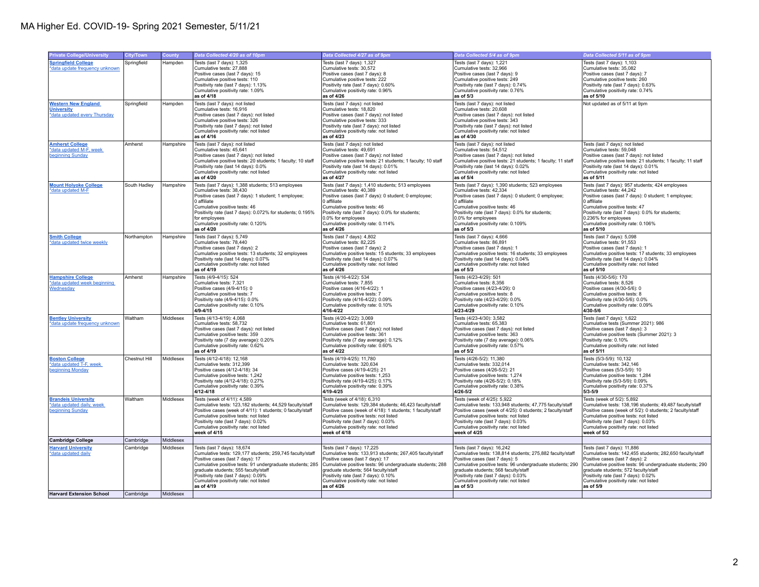| <b>Private College/University</b> | City/Town     | County    | Data Collected 4/20 as of 10pm                              | Data Collected 4/27 as of 9pm                               | Data Collected 5/4 as of 9pm                                | Data Collected 5/11 as of 9pm                               |
|-----------------------------------|---------------|-----------|-------------------------------------------------------------|-------------------------------------------------------------|-------------------------------------------------------------|-------------------------------------------------------------|
| <b>Springfield College</b>        | Springfield   | Hampden   | Tests (last 7 days): 1,325                                  | Tests (last 7 days): 1.327                                  | Tests (last 7 days): 1,221                                  | Tests (last 7 days): 1.103                                  |
| *data update frequency unknown    |               |           | Cumulative tests: 27,888                                    | Cumulative tests: 30,572                                    | Cumulative tests: 32,966                                    | Cumulative tests: 35,082                                    |
|                                   |               |           |                                                             |                                                             |                                                             |                                                             |
|                                   |               |           | Positive cases (last 7 days): 15                            | Positive cases (last 7 days): 8                             | Positive cases (last 7 days): 9                             | Positive cases (last 7 days): 7                             |
|                                   |               |           | Cumulative positive tests: 110                              | Cumulative positive tests: 222                              | Cumulative positive tests: 249                              | Cumulative positive tests: 260                              |
|                                   |               |           | Positivity rate (last 7 days): 1.13%                        | Positivity rate (last 7 days): 0.60%                        | Positivity rate (last 7 days): 0.74%                        | Positivity rate (last 7 days): 0.63%                        |
|                                   |               |           | Cumulative positivity rate: 1.09%                           | Cumulative positivity rate: 0.96%                           | Cumulative positivity rate: 0.76%                           | Cumulative positivity rate: 0.74%                           |
|                                   |               |           | as of 4/18                                                  | as of 4/26                                                  | as of 5/3                                                   | as of 5/10                                                  |
| <b>Western New England</b>        | Springfield   | Hampden   | Tests (last 7 days): not listed                             | Tests (last 7 days): not listed                             | Tests (last 7 days): not listed                             | Not updated as of 5/11 at 9pm                               |
| <b>University</b>                 |               |           | Cumulative tests: 16,916                                    | Cumulative tests: 18,820                                    | Cumulative tests: 20,608                                    |                                                             |
|                                   |               |           | Positive cases (last 7 days): not listed                    | Positive cases (last 7 days): not listed                    |                                                             |                                                             |
| *data updated every Thursday      |               |           |                                                             |                                                             | Positive cases (last 7 days): not listed                    |                                                             |
|                                   |               |           | Cumulative positive tests: 326                              | Cumulative positive tests: 333                              | Cumulative positive tests: 343                              |                                                             |
|                                   |               |           | Positivity rate (last 7 days); not listed                   | Positivity rate (last 7 days); not listed                   | Positivity rate (last 7 days); not listed                   |                                                             |
|                                   |               |           | Cumulative positivity rate: not listed                      | Cumulative positivity rate: not listed                      | Cumulative positivity rate: not listed                      |                                                             |
|                                   |               |           | as of 4/16                                                  | as of 4/23                                                  | as of 4/30                                                  |                                                             |
| <b>Amherst College</b>            | Amherst       | Hampshire | Tests (last 7 days): not listed                             | Tests (last 7 days): not listed                             | Tests (last 7 days): not listed                             | Tests (last 7 days): not listed                             |
| *data updated M-F, week           |               |           | Cumulative tests: 45.641                                    | Cumulative tests: 49.691                                    | Cumulative tests: 54.512                                    | Cumulative tests: 59.048                                    |
| beginning Sunday                  |               |           | Positive cases (last 7 days): not listed                    | Positive cases (last 7 days): not listed                    | Positive cases (last 7 days): not listed                    | Positive cases (last 7 days): not listed                    |
|                                   |               |           | Cumulative positive tests: 20 students; 1 faculty; 10 staff | Cumulative positive tests: 21 students; 1 faculty; 10 staff | Cumulative positive tests: 21 students; 1 faculty; 11 staff | Cumulative positive tests: 21 students; 1 faculty; 11 staff |
|                                   |               |           | Positivity rate (last 14 days): 0.0%                        | Positivity rate (last 14 days): 0.01%                       | Positivity rate (last 14 days): 0.02%                       | Positivity rate (last 14 days): 0.01%                       |
|                                   |               |           | Cumulative positivity rate: not listed                      | Cumulative positivity rate: not listed                      | Cumulative positivity rate: not listed                      | Cumulative positivity rate: not listed                      |
|                                   |               |           | as of 4/20                                                  | as of 4/27                                                  | as of 5/4                                                   | as of 5/11                                                  |
|                                   |               |           |                                                             |                                                             |                                                             |                                                             |
| <b>Mount Holyoke College</b>      | South Hadley  | Hampshire | Tests (last 7 days): 1,388 students; 513 employees          | Tests (last 7 days): 1,410 students; 513 employees          | Tests (last 7 days): 1,390 students; 523 employees          | Tests (last 7 days): 957 students; 424 employees            |
| *data updated M-F                 |               |           | Cumulative tests: 38,430                                    | Cumulative tests: 40,389                                    | Cumulative tests: 42,334                                    | Cumulative tests: 44,242                                    |
|                                   |               |           | Positive cases (last 7 days): 1 student; 1 employee;        | Positive cases (last 7 days): 0 student; 0 employee;        | Positive cases (last 7 days): 0 student; 0 employee;        | Positive cases (last 7 days): 0 student; 1 employee;        |
|                                   |               |           | 0 affiliate                                                 | 0 affiliate                                                 | 0 affiliate                                                 | 0 affiliate                                                 |
|                                   |               |           | Cumulative positive tests: 46                               | Cumulative positive tests: 46                               | Cumulative positive tests: 46                               | Cumulative positive tests: 47                               |
|                                   |               |           | Positivity rate (last 7 days): 0.072% for students; 0.195%  | Positivity rate (last 7 days): 0.0% for students;           | Positivity rate (last 7 days): 0.0% for students;           | Positivity rate (last 7 days): 0.0% for students;           |
|                                   |               |           | for employees                                               | 0.0% for employees                                          | 0.0% for employees                                          | 0.236% for employees                                        |
|                                   |               |           | Cumulative positivity rate: 0.120%                          | Cumulative positivity rate: 0.114%                          | Cumulative positivity rate: 0.109%                          | Cumulative positivity rate: 0.106%                          |
|                                   |               |           | as of 4/20                                                  | as of 4/26                                                  |                                                             | as of 5/10                                                  |
|                                   |               |           |                                                             |                                                             | as of 5/3                                                   |                                                             |
| <b>Smith College</b>              | Northampton   | Hampshire | Tests (last 7 days): 5,749                                  | Tests (last 7 days): 4,802                                  | Tests (last 7 days): 4,666                                  | Tests (last 7 days): 5,098                                  |
| *data updated twice weekly        |               |           | Cumulative tests: 78,440                                    | Cumulative tests: 82,225                                    | Cumulative tests: 86,891                                    | Cumulative tests: 91,553                                    |
|                                   |               |           | Positive cases (last 7 days): 2                             | Positive cases (last 7 days): 2                             | Positive cases (last 7 days): 1                             | Positive cases (last 7 days): 1                             |
|                                   |               |           | Cumulative positive tests: 13 students; 32 employees        | Cumulative positive tests: 15 students; 33 employees        | Cumulative positive tests: 16 students; 33 employees        | Cumulative positive tests: 17 students; 33 employees        |
|                                   |               |           | Positivity rate (last 14 days): 0.07%                       | Positivity rate (last 14 days): 0.07%                       | Positivity rate (last 14 days): 0.04%                       | Positivity rate (last 14 days): 0.04%                       |
|                                   |               |           | Cumulative positivity rate: not listed                      | Cumulative positivity rate: not listed                      | Cumulative positivity rate: not listed                      | Cumulative positivity rate: not listed                      |
|                                   |               |           | as of 4/19                                                  | as of 4/26                                                  | as of 5/3                                                   | as of 5/10                                                  |
|                                   |               |           |                                                             |                                                             |                                                             |                                                             |
| <b>Hampshire College</b>          | Amherst       | Hampshire | Tests (4/9-4/15): 524                                       | Tests (4/16-4/22): 534                                      | Tests (4/23-4/29): 501                                      | Tests (4/30-5/6): 170                                       |
| *data updated week beginning      |               |           | Cumulative tests: 7,321                                     | Cumulative tests: 7,855                                     | Cumulative tests: 8,356                                     | Cumulative tests: 8,526                                     |
| Wednesday                         |               |           | Positive cases (4/9-4/15): 0                                | Positive cases (4/16-4/22): 1                               | Positive cases (4/23-4/29): 0                               | Positive cases (4/30-5/6): 0                                |
|                                   |               |           | Cumulative positive tests: 7                                | Cumulative positive tests: 7                                | Cumulative positive tests: 8                                | Cumulative positive tests: 8                                |
|                                   |               |           | Positivity rate (4/9-4/15): 0.0%                            | Positivity rate (4/16-4/22): 0.09%                          | Positivity rate (4/23-4/29): 0.0%                           | Positivity rate (4/30-5/6): 0.0%                            |
|                                   |               |           | Cumulative positivity rate: 0.10%                           | Cumulative positivity rate: 0.10%                           | Cumulative positivity rate: 0.10%                           | Cumulative positivity rate: 0.09%                           |
|                                   |               |           | $4/9 - 4/15$                                                | $4/16 - 4/22$                                               | 4/23-4/29                                                   | 4/30-5/6                                                    |
|                                   |               |           |                                                             |                                                             |                                                             |                                                             |
| <b>Bentley University</b>         | Waltham       | Middlesex | Tests (4/13-4/19): 4,068                                    | Tests (4/20-4/22): 3,069                                    | Tests (4/23-4/30): 3,582                                    | Tests (last 7 days): 1,622                                  |
| *data update frequency unknown    |               |           | Cumulative tests: 58,732                                    | Cumulative tests: 61,801                                    | Cumulative tests: 65,383                                    | Cumulative tests (Summer 2021): 986                         |
|                                   |               |           | Positive cases (last 7 days): not listed                    | Positive cases (last 7 days): not listed                    | Positive cases (last 7 days): not listed                    | Positive cases (last 7 days): 3                             |
|                                   |               |           | Cumulative positive tests: 359                              | Cumulative positive tests: 361                              | Cumulative positive tests: 363                              | Cumulative positive tests (Summer 2021): 3                  |
|                                   |               |           | Positivity rate (7 day average): 0.20%                      | Positivity rate (7 day average): 0.12%                      | Positivity rate (7 day average): 0.06%                      | Positivity rate: 0.10%                                      |
|                                   |               |           | Cumulative positivity rate: 0.62%                           | Cumulative positivity rate: 0.60%                           | Cumulative positivity rate: 0.57%                           | Cumulative positivity rate: not listed                      |
|                                   |               |           | as of 4/19                                                  | as of 4/22                                                  | as of 5/2                                                   | as of 5/11                                                  |
| <b>Boston College</b>             | Chestnut Hill | Middlesex | Tests (4/12-4/18): 12,168                                   | Tests (4/19-4/25): 11,780                                   | Tests (4/26-5/2): 11,380                                    | Tests (5/3-5/9): 10,132                                     |
| *data updated T-F, week           |               |           | Cumulative tests: 312.399                                   | Cumulative tests: 320.634                                   | Cumulative tests: 332.014                                   | Cumulative tests: 342.146                                   |
| beginning Monday                  |               |           | Positive cases (4/12-4/18): 34                              | Positive cases (4/19-4/25): 21                              | Positive cases (4/26-5/2): 21                               | Positive cases (5/3-5/9): 10                                |
|                                   |               |           |                                                             |                                                             |                                                             |                                                             |
|                                   |               |           | Cumulative positive tests: 1,242                            | Cumulative positive tests: 1,253                            | Cumulative positive tests: 1,274                            | Cumulative positive tests: 1,284                            |
|                                   |               |           | Positivity rate (4/12-4/18): 0.27%                          | Positivity rate (4/19-4/25): 0.17%                          | Positivity rate (4/26-5/2): 0.18%                           | Positivity rate (5/3-5/9): 0.09%                            |
|                                   |               |           | Cumulative positivity rate: 0.39%                           | Cumulative positivity rate: 0.39%                           | Cumulative positivity rate: 0.38%                           | Cumulative positivity rate: 0.37%                           |
|                                   |               |           | $4/12 - 4/18$                                               | 4/19-4/25                                                   | $4/26 - 5/2$                                                | 5/3-5/9                                                     |
| <b>Brandeis University</b>        | Waltham       | Middlesex | Tests (week of 4/11): 4,589                                 | Tests (week of 4/18): 6,310                                 | Tests (week of 4/25): 5,922                                 | Tests (week of 5/2): 5,892                                  |
| *data updated daily, week         |               |           | Cumulative tests: 123,182 students; 44,529 faculty/staff    | Cumulative tests: 129,384 students; 46,423 faculty/staff    | Cumulative tests: 133,948 students; 47,775 faculty/staff    | Cumulative tests: 138,196 students; 49,487 faculty/staff    |
| beginning Sunday                  |               |           | Positive cases (week of 4/11): 1 students; 0 faculty/staff  | Positive cases (week of 4/18): 1 students; 1 faculty/staff  | Positive cases (week of 4/25): 0 students; 2 faculty/staff  | Positive cases (week of 5/2): 0 students; 2 faculty/staff   |
|                                   |               |           | Cumulative positive tests: not listed                       | Cumulative positive tests: not listed                       | Cumulative positive tests: not listed                       | Cumulative positive tests: not listed                       |
|                                   |               |           | Positivity rate (last 7 days): 0.02%                        | Positivity rate (last 7 days): 0.03%                        | Positivity rate (last 7 days): 0.03%                        | Positivity rate (last 7 days): 0.03%                        |
|                                   |               |           | Cumulative positivity rate: not listed                      | Cumulative positivity rate: not listed                      | Cumulative positivity rate: not listed                      | Cumulative positivity rate: not listed                      |
|                                   |               |           | week of 4/15                                                | week of 4/18                                                | week of 4/25                                                | week of 5/2                                                 |
|                                   |               |           |                                                             |                                                             |                                                             |                                                             |
| <b>Cambridge College</b>          | Cambridge     | Middlesex |                                                             |                                                             |                                                             |                                                             |
| <b>Harvard University</b>         | Cambridge     | Middlesex | Tests (last 7 days): 18,674                                 | Tests (last 7 days): 17,225                                 | Tests (last 7 days): 16,242                                 | Tests (last 7 days): 11,886                                 |
| *data updated daily               |               |           | Cumulative tests: 129,177 students; 259,745 faculty/staff   | Cumulative tests: 133,913 students; 267,405 faculty/staff   | Cumulative tests: 138,814 students; 275,882 faculty/staff   | Cumulative tests: 142,455 students; 282,650 faculty/staff   |
|                                   |               |           | Positive cases (last 7 days): 17                            | Positive cases (last 7 days): 17                            | Positive cases (last 7 days): 5                             | Positive cases (last 7 days): 2                             |
|                                   |               |           | Cumulative positive tests: 91 undergraduate students; 285   | Cumulative positive tests: 96 undergraduate students; 288   | Cumulative positive tests: 96 undergraduate students; 290   | Cumulative positive tests: 96 undergraduate students; 290   |
|                                   |               |           | graduate students; 555 faculty/staff                        | graduate students; 564 faculty/staff                        | graduate students; 568 faculty/staff                        | graduate students; 572 faculty/staff                        |
|                                   |               |           | Positivity rate (last 7 days): 0.09%                        | Positivity rate (last 7 days): 0.10%                        | Positivity rate (last 7 days): 0.03%                        | Positivity rate (last 7 days): 0.02%                        |
|                                   |               |           | Cumulative positivity rate: not listed                      | Cumulative positivity rate: not listed                      | Cumulative positivity rate: not listed                      | Cumulative positivity rate: not listed                      |
|                                   |               |           | as of 4/19                                                  | as of 4/26                                                  | as of 5/3                                                   | as of 5/9                                                   |
|                                   |               |           |                                                             |                                                             |                                                             |                                                             |
| <b>Harvard Extension School</b>   | Cambridge     | Middlesex |                                                             |                                                             |                                                             |                                                             |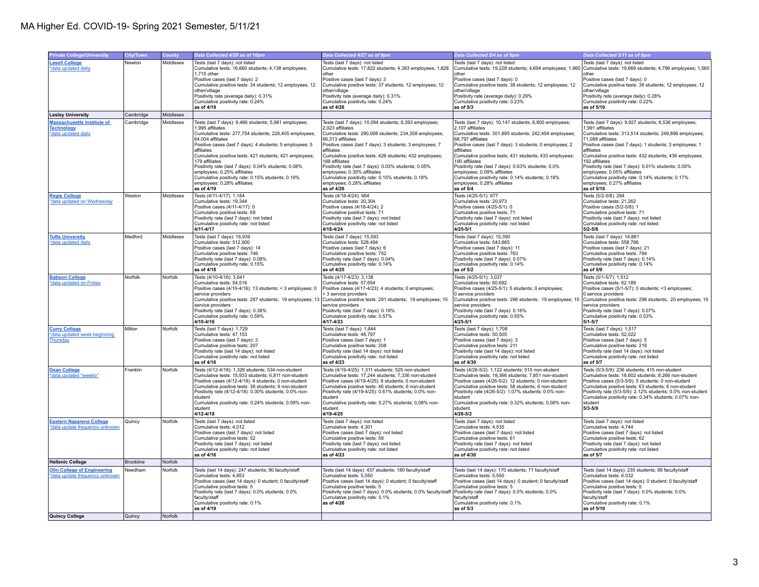| <b>Private College/University</b>                                   | <b>City/Town</b>            | <b>County</b>      | Data Collected 4/20 as of 10pm                                                                                 | Data Collected 4/27 as of 9pm                                                                                  | Data Collected 5/4 as of 9pm                                                                                   | Data Collected 5/11 as of 9pm                                                                                |
|---------------------------------------------------------------------|-----------------------------|--------------------|----------------------------------------------------------------------------------------------------------------|----------------------------------------------------------------------------------------------------------------|----------------------------------------------------------------------------------------------------------------|--------------------------------------------------------------------------------------------------------------|
| <b>Lasell College</b>                                               | Newton                      | Middlesex          | Tests (last 7 days): not listed                                                                                | Tests (last 7 days): not listed                                                                                | Tests (last 7 days): not listed                                                                                | Tests (last 7 days): not listed                                                                              |
| *data updated daily                                                 |                             |                    | Cumulative tests: 16,660 students; 4,138 employees;                                                            | Cumulative tests: 17,822 students; 4,383 employees; 1,828                                                      | Cumulative tests: 19,228 students; 4,694 employees; 1,960                                                      | Cumulative tests: 19,669 students; 4,796 employees; 1,560                                                    |
|                                                                     |                             |                    | 1.715 other<br>Positive cases (last 7 days): 2                                                                 | other<br>Positive cases (last 7 days): 3                                                                       | other<br>Positive cases (last 7 days): 0                                                                       | other<br>Positive cases (last 7 days): 0                                                                     |
|                                                                     |                             |                    | Cumulative positive tests: 34 students; 12 employees; 12                                                       | Cumulative positive tests: 37 students; 12 employees; 12                                                       | Cumulative positive tests: 38 students; 12 employees; 12                                                       | Cumulative positive tests: 38 students; 12 employees; 12                                                     |
|                                                                     |                             |                    | other/village<br>Positivity rate (average daily): 0.31%                                                        | other/village<br>Positivity rate (average daily): 0.31%                                                        | other/village<br>Positivity rate (average daily): 0.29%                                                        | other/village<br>Positivity rate (average daily): 0.28%                                                      |
|                                                                     |                             |                    | Cumulative positivity rate: 0.24%                                                                              | Cumulative positivity rate: 0.24%                                                                              | Cumulative positivity rate: 0.23%                                                                              | Cumulative positivity rate: 0.22%                                                                            |
|                                                                     |                             |                    | as of 4/19                                                                                                     | as of 4/26                                                                                                     | as of $5/3$                                                                                                    | as of 5/10                                                                                                   |
| <b>Lesley University</b>                                            | Cambridge                   | Middlesex          |                                                                                                                |                                                                                                                |                                                                                                                |                                                                                                              |
| <b>Massachusetts Institute of</b><br><b>Technology</b>              | Cambridge                   | Middlesex          | Tests (last 7 days): 9,466 students; 5,981 employees;<br>1,995 affiliates                                      | Tests (last 7 days): 10,094 students; 6,393 employees;<br>2,023 affiliates                                     | Tests (last 7 days): 10,147 students; 6,800 employees;<br>2,107 affiliates                                     | Tests (last 7 days): 9,927 students; 6,536 employees;<br>1,991 affiliates                                    |
| *data updated daily                                                 |                             |                    | Cumulative tests: 277,754 students; 226,405 employees;                                                         | Cumulative tests: 290,008 students; 234,358 employees;                                                         | Cumulative tests: 301,895 students; 242,454 employees;                                                         | Cumulative tests: 313,514 students; 249,896 employees;                                                       |
|                                                                     |                             |                    | 64,004 affiliates                                                                                              | 66,313 affiliates                                                                                              | 68,797 affiliates                                                                                              | 71,088 affiliates                                                                                            |
|                                                                     |                             |                    | Positive cases (last 7 days): 4 students; 5 employees; 5<br>affiliates                                         | Positive cases (last 7 days): 3 students; 3 employees; 7<br>affiliates                                         | Positive cases (last 7 days): 3 students; 0 employees; 2<br>affiliates                                         | Positive cases (last 7 days): 1 students; 3 employees; 1<br>affiliates                                       |
|                                                                     |                             |                    | Cumulative positive tests: 421 students; 421 employees;                                                        | Cumulative positive tests: 426 students; 432 employees;                                                        | Cumulative positive tests: 431 students; 433 employees;                                                        | Cumulative positive tests: 432 students; 436 employees;                                                      |
|                                                                     |                             |                    | 179 affiliates<br>Positivity rate (last 7 days): 0.04% students; 0.08%                                         | 188 affiliates<br>Positivity rate (last 7 days): 0.03% students; 0.05%                                         | 190 affiliates<br>Positivity rate (last 7 days): 0.03% students; 0.0%                                          | 192 affiliates<br>Positivity rate (last 7 days): 0.01% students; 0.05%                                       |
|                                                                     |                             |                    | employees; 0.25% affiliates                                                                                    | employees; 0.35% affiliates                                                                                    | employees; 0.09% affiliates                                                                                    | employees; 0.05% affiliates                                                                                  |
|                                                                     |                             |                    | Cumulative positivity rate: 0.15% students; 0.19%<br>employees; 0.28% affiliates                               | Cumulative positivity rate: 0.15% students; 0.18%<br>employees; 0.28% affiliates                               | Cumulative positivity rate: 0.14% students; 0.18%<br>employees; 0.28% affiliates                               | Cumulative positivity rate: 0.14% students; 0.17%<br>employees; 0.27% affiliates                             |
|                                                                     |                             |                    | as of $4/19$                                                                                                   | as of 4/26                                                                                                     | $\vert$ as of 5/4                                                                                              | as of 5/10                                                                                                   |
| <b>Regis College</b>                                                | Weston                      | Middlesex          | Tests (4/11-4/17): 1,184                                                                                       | Tests (4/18-4/24): 964                                                                                         | Tests (4/25-5/1): 677                                                                                          | Tests (5/2-5/8): 294                                                                                         |
| *data updated on Wednesday                                          |                             |                    | Cumulative tests: 19.344<br>Positive cases (4/11-4/17): 0                                                      | Cumulative tests: 20,304<br>Positive cases (4/18-4/24): 2                                                      | Cumulative tests: 20,973<br>Positive cases (4/25-5/1): 0                                                       | Cumulative tests: 21,262<br>Positive cases (5/2-5/8): 1                                                      |
|                                                                     |                             |                    | Cumulative positive tests: 69                                                                                  | Cumulative positive tests: 71                                                                                  | Cumulative positive tests: 71                                                                                  | Cumulative positive tests: 71                                                                                |
|                                                                     |                             |                    | Positivity rate (last 7 days); not listed<br>Cumulative positivity rate: not listed                            | Positivity rate (last 7 days); not listed<br>Cumulative positivity rate: not listed                            | Positivity rate (last 7 days); not listed<br>Cumulative positivity rate: not listed                            | Positivity rate (last 7 days); not listed<br>Cumulative positivity rate: not listed                          |
|                                                                     |                             |                    | $4/11 - 4/17$                                                                                                  | 4/18-4/24                                                                                                      | $4/25 - 5/1$                                                                                                   | $5/2 - 5/8$                                                                                                  |
| <b>Tufts University</b>                                             | Medford                     | Middlesex          | Tests (last 7 days): 16,939                                                                                    | Tests (last 7 days): 15,593                                                                                    | Tests (last 7 days): 15,390                                                                                    | Tests (last 7 days): 14,881                                                                                  |
| *data updated daily                                                 |                             |                    | Cumulative tests: 512,900<br>Positive cases (last 7 days): 14                                                  | Cumulative tests: 528,494<br>Positive cases (last 7 days): 6                                                   | Cumulative tests: 543,885<br>Positive cases (last 7 days): 11                                                  | Cumulative tests: 558,766<br>Positive cases (last 7 days): 21                                                |
|                                                                     |                             |                    | Cumulative positive tests: 746                                                                                 | Cumulative positive tests: 752                                                                                 | Cumulative positive tests: 763                                                                                 | Cumulative positive tests: 784                                                                               |
|                                                                     |                             |                    | Positivity rate (last 7 days): 0.08%<br>Cumulative positivity rate: 0.15%                                      | Positivity rate (last 7 days): 0.04%<br>Cumulative positivity rate: 0.14%                                      | Positivity rate (last 7 days): 0.07%<br>Cumulative positivity rate: 0.14%                                      | Positivity rate (last 7 days): 0.14%<br>Cumulative positivity rate: 0.14%                                    |
|                                                                     |                             |                    | as of 4/18                                                                                                     | as of 4/25                                                                                                     | as of 5/2                                                                                                      | as of 5/9                                                                                                    |
| <b>Babson College</b>                                               | Norfolk                     | Norfolk            | Tests (4/10-4/16): 3,641                                                                                       | Tests (4/17-4/23): 3,138                                                                                       | Tests (4/25-5/1): 3,037                                                                                        | Tests (5/1-5/7): 1,512                                                                                       |
| *data updated on Friday                                             |                             |                    | Cumulative tests: 54.516<br>Positive cases (4/10-4/16): 13 students; < 3 employees; 0                          | Cumulative tests: 57,654<br>Positive cases (4/17-4/23): 4 students; 0 employees;                               | Cumulative tests: 60,692<br>Positive cases (4/25-5/1): 5 students; 0 employees;                                | Cumulative tests: 62.189<br>Positive cases (5/1-5/7): 0 students; <3 employees;                              |
|                                                                     |                             |                    | service providers                                                                                              | 3 service providers                                                                                            | 0 service providers                                                                                            | 0 service providers                                                                                          |
|                                                                     |                             |                    | Cumulative positive tests: 287 students; 19 employees; 13<br>service providers                                 | Cumulative positive tests: 291 students; 19 employees; 15<br>service providers                                 | Cumulative positive tests: 296 students; 19 employees; 15<br>service providers                                 | Cumulative positive tests: 296 students; 20 employees; 15<br>service providers                               |
|                                                                     |                             |                    | Positivity rate (last 7 days): 0.38%                                                                           | Positivity rate (last 7 days): 0.19%                                                                           | Positivity rate (last 7 days): 0.16%                                                                           | Positivity rate (last 7 days): 0.07%                                                                         |
|                                                                     |                             |                    | Cumulative positivity rate: 0.59%<br>$4/10 - 4/16$                                                             | Cumulative positivity rate: 0.57%<br>4/17-4/23                                                                 | Cumulative positivity rate: 0.55%<br>$4/25 - 5/1$                                                              | Cumulative positivity rate: 0.53%<br>$5/1 - 5/7$                                                             |
| <b>Curry College</b>                                                | Milton                      | Norfolk            | Tests (last 7 days): 1,729                                                                                     | Tests (last 7 days): 1,644                                                                                     | Tests (last 7 days): 1,708                                                                                     | Tests (last 7 days): 1,517                                                                                   |
| *data updated week beginning                                        |                             |                    | Cumulative tests: 47,153                                                                                       | Cumulative tests: 48,797                                                                                       | Cumulative tests: 50,505                                                                                       | Cumulative tests: 52,022                                                                                     |
| <b>Thursday</b>                                                     |                             |                    | Positive cases (last 7 days): 3<br>Cumulative positive tests: 207                                              | Positive cases (last 7 days): 1<br>Cumulative positive tests: 208                                              | Positive cases (last 7 days): 3<br>Cumulative positive tests: 211                                              | Positive cases (last 7 days): 5<br>Cumulative positive tests: 216                                            |
|                                                                     |                             |                    | Positivity rate (last 14 days): not listed                                                                     | Positivity rate (last 14 days): not listed                                                                     | Positivity rate (last 14 days): not listed                                                                     | Positivity rate (last 14 days): not listed                                                                   |
|                                                                     |                             |                    | Cumulative positivity rate: not listed<br>as of 4/16                                                           | Cumulative positivity rate: not listed<br>as of 4/23                                                           | Cumulative positivity rate: not listed<br>as of 4/30                                                           | Cumulative positivity rate: not listed<br>as of 5/7                                                          |
| <b>Dean College</b>                                                 | Franklin                    | Norfolk            | Tests (4/12-4/18): 1,326 students; 534 non-student                                                             | Tests (4/19-4/25): 1,311 students; 525 non-student                                                             | Tests (4/26-5/2): 1,122 students; 515 non-student                                                              | Tests (5/3-5/9): 236 students; 415 non-student                                                               |
| *data updated "weekly"                                              |                             |                    | Cumulative tests: 15,933 students; 6,811 non-student                                                           | Cumulative tests: 17,244 students; 7,336 non-student                                                           | Cumulative tests: 18,366 students; 7,851 non-student                                                           | Cumulative tests: 18,602 students; 8,266 non-student                                                         |
|                                                                     |                             |                    | Positive cases (4/12-4/18): 4 students; 0 non-student<br>Cumulative positive tests: 38 students: 6 non-student | Positive cases (4/19-4/25): 8 students; 0 non-student<br>Cumulative positive tests: 46 students: 6 non-student | Positive cases (4/26-5/2): 12 students; 0 non-student<br>Cumulative positive tests: 58 students: 6 non-student | Positive cases (5/3-5/9): 5 students; 0 non-student<br>Cumulative positive tests: 63 students: 6 non-student |
|                                                                     |                             |                    | Positivity rate (4/12-4/18): 0.30% students; 0.0% non-                                                         | Positivity rate (4/19-4/25): 0.61% students; 0.0% non-                                                         | Positivity rate (4/26-5/2): 1.07% students; 0.0% non-                                                          | Positivity rate (5/3-5/9): 2.12% students; 0.0% non-student                                                  |
|                                                                     |                             |                    | student<br>Cumulative positivity rate: 0.24% students; 0.09% non-                                              | student<br>Cumulative positivity rate: 0.27% students; 0.08% non-                                              | student<br>Cumulative positivity rate: 0.32% students; 0.08% non-                                              | Cumulative positivity rate: 0.34% students; 0.07% non-<br>student                                            |
|                                                                     |                             |                    | student                                                                                                        | student                                                                                                        | student                                                                                                        | $5/3 - 5/9$                                                                                                  |
|                                                                     |                             |                    | $4/12 - 4/18$                                                                                                  | 4/19-4/25                                                                                                      | 4/26-5/2                                                                                                       |                                                                                                              |
| <b>Eastern Nazarene College</b><br>*data update frequency unknown   | Quincy                      | Norfolk            | Tests (last 7 days): not listed<br>Cumulative tests: 4,012                                                     | Tests (last 7 days): not listed<br>Cumulative tests: 4,301                                                     | Tests (last 7 days): not listed<br>Cumulative tests: 4,535                                                     | Tests (last 7 days): not listed<br>Cumulative tests: 4,744                                                   |
|                                                                     |                             |                    | Positive cases (last 7 days): not listed                                                                       | Positive cases (last 7 days): not listed                                                                       | Positive cases (last 7 days): not listed                                                                       | Positive cases (last 7 days): not listed                                                                     |
|                                                                     |                             |                    | Cumulative positive tests: 52<br>Positivity rate (last 7 days): not listed                                     | Cumulative positive tests: 58<br>Positivity rate (last 7 days): not listed                                     | Cumulative positive tests: 61                                                                                  | Cumulative positive tests: 62<br>Positivity rate (last 7 days): not listed                                   |
|                                                                     |                             |                    | Cumulative positivity rate: not listed                                                                         | Cumulative positivity rate: not listed                                                                         | Positivity rate (last 7 days): not listed<br>Cumulative positivity rate: not listed                            | Cumulative positivity rate: not listed                                                                       |
|                                                                     |                             |                    | as of 4/16                                                                                                     | as of 4/23                                                                                                     | as of 4/30                                                                                                     | as of 5/7                                                                                                    |
| <b>Hellenic College</b>                                             | <b>Brookline</b><br>Needham | Norfolk<br>Norfolk |                                                                                                                |                                                                                                                |                                                                                                                |                                                                                                              |
| <b>Olin College of Engineering</b><br>*data undate frequency unknov |                             |                    | Tests (last 14 days): 247 students; 90 faculty/staff<br>Cumulative tests: 4,853                                | Tests (last 14 days): 437 students; 180 faculty/staff<br>Cumulative tests: 5,550                               | Tests (last 14 days): 170 students; 71 faculty/staff<br>Cumulative tests: 5,550                                | Tests (last 14 days): 235 students; 89 faculty/staff<br>Cumulative tests: 6,032                              |
|                                                                     |                             |                    | Positive cases (last 14 days): 0 student; 0 faculty/staff                                                      | Positive cases (last 14 days): 0 student; 0 faculty/staff                                                      | Positive cases (last 14 days): 0 student; 0 faculty/staff                                                      | Positive cases (last 14 days): 0 student; 0 faculty/staff                                                    |
|                                                                     |                             |                    | Cumulative positive tests: 5<br>Positivity rate (last 7 days): 0.0% students; 0.0%                             | Cumulative positive tests: 5<br>Positivity rate (last 7 days): 0.0% students; 0.0% faculty/staff               | Cumulative positive tests: 5<br>Positivity rate (last 7 days): 0.0% students; 0.0%                             | Cumulative positive tests: 5<br>Positivity rate (last 7 days): 0.0% students; 0.0%                           |
|                                                                     |                             |                    | faculty/staff                                                                                                  | Cumulative positivity rate: 0.1%                                                                               | faculty/staff                                                                                                  | faculty/staff                                                                                                |
|                                                                     |                             |                    | Cumulative positivity rate: 0.1%<br>as of 4/19                                                                 | as of 4/26                                                                                                     | Cumulative positivity rate: 0.1%<br>as of $5/3$                                                                | Cumulative positivity rate: 0.1%<br>as of 5/10                                                               |
| <b>Quincy College</b>                                               | Quincy                      | Norfolk            |                                                                                                                |                                                                                                                |                                                                                                                |                                                                                                              |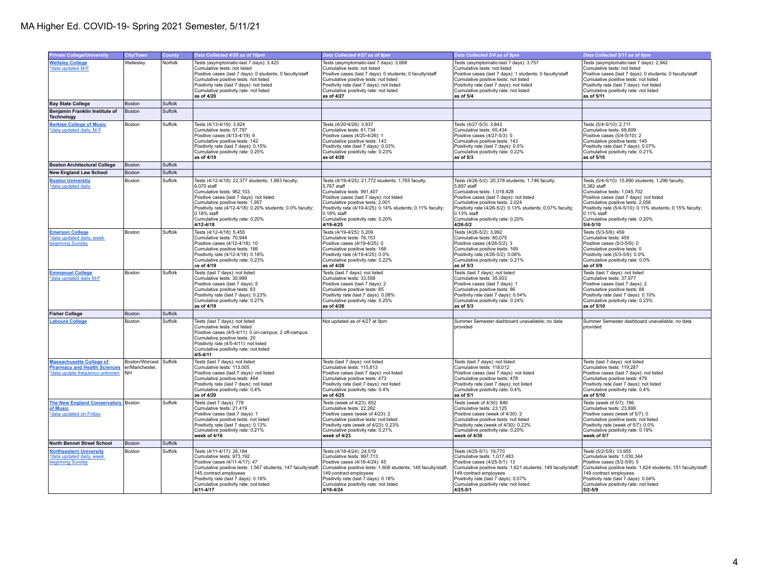| <b>Private College/University</b>                                                                        | City/Town                                             | County  | Data Collected 4/20 as of 10pm                                                                                                                                                                                                                                                                                    | Data Collected 4/27 as of 9pm                                                                                                                                                                                                                                                                                  | Data Collected 5/4 as of 9pm                                                                                                                                                                                                                                                                                      | Data Collected 5/11 as of 9pm                                                                                                                                                                                                                                                                                     |
|----------------------------------------------------------------------------------------------------------|-------------------------------------------------------|---------|-------------------------------------------------------------------------------------------------------------------------------------------------------------------------------------------------------------------------------------------------------------------------------------------------------------------|----------------------------------------------------------------------------------------------------------------------------------------------------------------------------------------------------------------------------------------------------------------------------------------------------------------|-------------------------------------------------------------------------------------------------------------------------------------------------------------------------------------------------------------------------------------------------------------------------------------------------------------------|-------------------------------------------------------------------------------------------------------------------------------------------------------------------------------------------------------------------------------------------------------------------------------------------------------------------|
|                                                                                                          |                                                       |         |                                                                                                                                                                                                                                                                                                                   |                                                                                                                                                                                                                                                                                                                |                                                                                                                                                                                                                                                                                                                   |                                                                                                                                                                                                                                                                                                                   |
| <b>Wellsley College</b><br>*data updated M-F                                                             | Wellesley                                             | Norfolk | Tests (asymptomatic-last 7 days): 3,423<br>Cumulative tests: not listed<br>Positive cases (last 7 days): 0 students; 0 faculty/staff<br>Cumulative positive tests: not listed<br>Positivity rate (last 7 days): not listed<br>Cumulative positivity rate: not listed                                              | Tests (asymptomatic-last 7 days): 3,668<br>Cumulative tests: not listed<br>Positive cases (last 7 days): 0 students; 0 faculty/staff<br>Cumulative positive tests: not listed<br>Positivity rate (last 7 days): not listed<br>Cumulative positivity rate: not listed                                           | Tests (asymptomatic-last 7 days): 3,757<br>Cumulative tests: not listed<br>Positive cases (last 7 days): 1 students; 0 faculty/staff<br>Cumulative positive tests: not listed<br>Positivity rate (last 7 days): not listed<br>Cumulative positivity rate: not listed                                              | Tests (asymptomatic-last 7 days): 2,942<br>Cumulative tests: not listed<br>Positive cases (last 7 days): 0 students; 0 faculty/staff<br>Cumulative positive tests: not listed<br>Positivity rate (last 7 days): not listed<br>Cumulative positivity rate: not listed                                              |
|                                                                                                          |                                                       |         | as of 4/20                                                                                                                                                                                                                                                                                                        | as of 4/27                                                                                                                                                                                                                                                                                                     | as of 5/4                                                                                                                                                                                                                                                                                                         | as of 5/11                                                                                                                                                                                                                                                                                                        |
| <b>Bay State College</b>                                                                                 | Boston                                                | Suffolk |                                                                                                                                                                                                                                                                                                                   |                                                                                                                                                                                                                                                                                                                |                                                                                                                                                                                                                                                                                                                   |                                                                                                                                                                                                                                                                                                                   |
| Beniamin Franklin Institute of<br><b>Technology</b>                                                      | Boston                                                | Suffolk |                                                                                                                                                                                                                                                                                                                   |                                                                                                                                                                                                                                                                                                                |                                                                                                                                                                                                                                                                                                                   |                                                                                                                                                                                                                                                                                                                   |
| <b>Berklee College of Music</b><br>*data updated daily, M-F                                              | Boston                                                | Suffolk | Tests (4/13-4/19): 3,924<br>Cumulative tests: 57,797<br>Positive cases (4/13-4/19): 6<br>Cumulative positive tests: 142<br>Positivity rate (last 7 days): 0.15%<br>Cumulative positivity rate: 0.25%<br>as of 4/19                                                                                                | Tests (4/20-4/26): 3,937<br>Cumulative tests: 61,734<br>Positive cases (4/20-4/26): 1<br>Cumulative positive tests: 143<br>Positivity rate (last 7 days): 0.03%<br>Cumulative positivity rate: 0.23%<br>as of 4/26                                                                                             | Tests (4/27-5/3): 3,843<br>Cumulative tests: 65.434<br>Positive cases (4/27-5/3): 0<br>Cumulative positive tests: 143<br>Positivity rate (last 7 days): 0.0%<br>Cumulative positivity rate: 0.22%<br>as of $5/3$                                                                                                  | Tests (5/4-5/10): 2,711<br>Cumulative tests: 68,609<br>Positive cases (5/4-5/10): 2<br>Cumulative positive tests: 145<br>Positivity rate (last 7 days): 0.07%<br>Cumulative positivity rate: 0.21%<br>as of 5/10                                                                                                  |
| <b>Boston Architectural College</b>                                                                      | Boston                                                | Suffolk |                                                                                                                                                                                                                                                                                                                   |                                                                                                                                                                                                                                                                                                                |                                                                                                                                                                                                                                                                                                                   |                                                                                                                                                                                                                                                                                                                   |
| <b>New England Law School</b>                                                                            | Boston                                                | Suffolk |                                                                                                                                                                                                                                                                                                                   |                                                                                                                                                                                                                                                                                                                |                                                                                                                                                                                                                                                                                                                   |                                                                                                                                                                                                                                                                                                                   |
| <b>Boston Universtiy</b><br>*data updated daily                                                          | Boston                                                | Suffolk | Tests (4/12-4/18): 22,377 students; 1,983 faculty;<br>6.070 staff<br>Cumulative tests: 962,103<br>Positive cases (last 7 days): not listed<br>Cumulative positive tests: 1,957<br>Positivity rate (4/12-4/18): 0.20% students; 0.0% faculty;<br>0.18% staff<br>Cumulative positivity rate: 0.20%<br>$4/12 - 4/18$ | Tests (4/19-4/25): 21,772 students; 1,765 faculty;<br>5.767 staff<br>Cumulative tests: 991,407<br>Positive cases (last 7 days): not listed<br>Cumulative positive tests: 2,001<br>Positivity rate (4/19-4/25): 0.14% students; 0.11% faculty;<br>0.19% staff<br>Cumulative positivity rate: 0.20%<br>4/19-4/25 | Tests (4/26-5/2): 20,378 students; 1,746 faculty;<br>5,897 staff<br>Cumulative tests: 1,019,428<br>Positive cases (last 7 days): not listed<br>Cumulative positive tests: 2,024<br>Positivity rate (4/26-5/2): 0.13% students; 0.07% faculty;<br>0.13% staff<br>Cumulative positivity rate: 0.20%<br>$4/26 - 5/2$ | Tests (5/4-5/10): 15,890 students; 1,296 faculty;<br>5.382 staff<br>Cumulative tests: 1,045,702<br>Positive cases (last 7 days): not listed<br>Cumulative positive tests: 2,056<br>Positivity rate (5/4-5/10): 0.11% students; 0.15% faculty;<br>0.11% staff<br>Cumulative positivity rate: 0.20%<br>$5/4 - 5/10$ |
| <b>Emerson College</b><br>*data updated daily, week<br>beginning Sunday                                  | Boston                                                | Suffolk | Tests (4/12-4/18): 5,455<br>Cumulative tests: 70.944<br>Positive cases (4/12-4/18): 10<br>Cumulative positive tests: 166<br>Positivity rate (4/12-4/18): 0.18%<br>Cumulative positivity rate: 0.23%<br>as of 4/19                                                                                                 | Tests (4/19-4/25): 5,209<br>Cumulative tests: 76.153<br>Positive cases (4/19-4/25): 0<br>Cumulative positive tests: 166<br>Positivity rate (4/19-4/25): 0.0%<br>Cumulative positivity rate: 0.22%<br>as of 4/26                                                                                                | Tests (4/26-5/2): 3,992<br>Cumulative tests: 80.075<br>Positive cases (4/26-5/2): 3<br>Cumulative positive tests: 169<br>Positivity rate (4/26-5/2): 0.08%<br>Cumulative positivity rate: 0.21%<br>as of $5/3$                                                                                                    | Tests (5/3-5/9): 459<br>Cumulative tests: 459<br>Positive cases (5/3-5/9): 0<br>Cumulative positive tests: 0<br>Positivity rate (5/3-5/9): 0.0%<br>Cumulative positivity rate: 0.0%<br>as of $5/9$                                                                                                                |
| <b>Emmanuel College</b><br>*data updated daily M-F                                                       | Boston                                                | Suffolk | Tests (last 7 days): not listed<br>Cumulative tests: 30,999<br>Positive cases (last 7 days): 5<br>Cumulative positive tests: 83<br>Positivity rate (last 7 days): 0.23%<br>Cumulative positivity rate: 0.27%<br>as of 4/19                                                                                        | Tests (last 7 days): not listed<br>Cumulative tests: 33,558<br>Positive cases (last 7 days): 2<br>Cumulative positive tests: 85<br>Positivity rate (last 7 days): 0.08%<br>Cumulative positivity rate: 0.25%<br>as of 4/26                                                                                     | Tests (last 7 days): not listed<br>Cumulative tests: 35,933<br>Positive cases (last 7 days): 1<br>Cumulative positive tests: 86<br>Positivity rate (last 7 days): 0.04%<br>Cumulative positivity rate: 0.24%<br>as of 5/3                                                                                         | Tests (last 7 days): not listed<br>Cumulative tests: 37,977<br>Positive cases (last 7 days): 2<br>Cumulative positive tests: 88<br>Positivity rate (last 7 days): 0.10%<br>Cumulative positivity rate: 0.23%<br>as of 5/10                                                                                        |
| <b>Fisher College</b>                                                                                    | Boston                                                | Suffolk |                                                                                                                                                                                                                                                                                                                   |                                                                                                                                                                                                                                                                                                                |                                                                                                                                                                                                                                                                                                                   |                                                                                                                                                                                                                                                                                                                   |
| <b>Laboure College</b>                                                                                   | Boston                                                | Suffolk | Tests (last 7 days): not listed<br>Cumulative tests: not listed<br>Positive cases (4/5-4/11): 0 on-campus; 2 off-campus<br>Cumulative positive tests: 20<br>Positivity rate (4/5-4/11): not listed<br>Cumulative positivity rate: not listed<br>4/5-4/11                                                          | Not updated as of 4/27 at 9pm                                                                                                                                                                                                                                                                                  | Summer Semester dashboard unavailable; no data<br>provided                                                                                                                                                                                                                                                        | Summer Semester dashboard unavailable; no data<br>provided                                                                                                                                                                                                                                                        |
| <b>Massachusetts College of</b><br><b>Pharmacy and Health Sciences</b><br>*data update frequency unknown | Boston/Worcest Suffolk<br>er/Manchester.<br><b>NH</b> |         | Tests (last 7 days): not listed<br>Cumulative tests: 113,005<br>Positive cases (last 7 days): not listed<br>Cumulative positive tests: 464<br>Positivity rate (last 7 days): not listed<br>Cumulative positivity rate: 0.4%<br>as of 4/20                                                                         | Tests (last 7 days): not listed<br>Cumulative tests: 115,813<br>Positive cases (last 7 days): not listed<br>Cumulative positive tests: 473<br>Positivity rate (last 7 days): not listed<br>Cumulative positivity rate: 0.4%<br>as of 4/25                                                                      | Tests (last 7 days): not listed<br>Cumulative tests: 118,012<br>Positive cases (last 7 days): not listed<br>Cumulative positive tests: 478<br>Positivity rate (last 7 days): not listed<br>Cumulative positivity rate: 0.4%<br>as of 5/1                                                                          | Tests (last 7 days): not listed<br>Cumulative tests: 119,287<br>Positive cases (last 7 days): not listed<br>Cumulative positive tests: 479<br>Positivity rate (last 7 days): not listed<br>Cumulative positivity rate: 0.4%<br>as of 5/10                                                                         |
| The New England Conservatory Boston<br>of Music<br>*data updated on Friday                               |                                                       | Suffolk | Tests (last 7 days): 778<br>Cumulative tests: 21,419<br>Positive cases (last 7 days): 1<br>Cumulative positive tests: not listed<br>Positivity rate (last 7 days): 0.13%<br>Cumulative positivity rate: 0.21%<br>week of 4/16                                                                                     | Tests (week of 4/23): 852<br>Cumulative tests: 22,282<br>Positive cases (week of 4/23): 2<br>Cumulative positive tests: not listed<br>Positivity rate (week of 4/23): 0.23%<br>Cumulative positivity rate: 0.21%<br>week of 4/23                                                                               | Tests (week of 4/30): 846<br>Cumulative tests: 23,125<br>Positive cases (week of 4/30): 2<br>Cumulative positive tests: not listed<br>Positivity rate (week of 4/30): 0.23%<br>Cumulative positivity rate: 0.20%<br>week of 4/30                                                                                  | Tests (week of 5/7): 766<br>Cumulative tests: 23,899<br>Positive cases (week of 5/7): 0<br>Cumulative positive tests: not listed<br>Positivity rate (week of 5/7): 0.0%<br>Cumulative positivity rate: 0.19%<br>week of 5/7                                                                                       |
| <b>North Bennet Street School</b>                                                                        | Boston                                                | Suffolk |                                                                                                                                                                                                                                                                                                                   |                                                                                                                                                                                                                                                                                                                |                                                                                                                                                                                                                                                                                                                   |                                                                                                                                                                                                                                                                                                                   |
| <b>Northeastern University</b><br>*data updated daily, week<br>beginning Sunday                          | Boston                                                | Suffolk | Tests (4/11-4/17): 26,184<br>Cumulative tests: 973,192<br>Positive cases (4/11-4/17): 47<br>Cumulative positive tests: 1,567 students; 147 faculty/staff;<br>145 contract employees<br>Positivity rate (last 7 days): 0.18%<br>Cumulative positivity rate: not listed<br>$4/11 - 4/17$                            | Tests (4/18-4/24): 24,519<br>Cumulative tests: 997,713<br>Positive cases (4/18-4/24): 45<br>Cumulative positive tests: 1,608 students; 149 faculty/staff;<br>149 contract employees<br>Positivity rate (last 7 days): 0.18%<br>Cumulative positivity rate: not listed<br>4/18-4/24                             | Tests (4/25-5/1): 19,770<br>Cumulative tests: 1,017,483<br>Positive cases (4/25-5/1): 13<br>Cumulative positive tests: 1,621 students; 149 faculty/staff;<br>149 contract employees<br>Positivity rate (last 7 days): 0.07%<br>Cumulative positivity rate: not listed<br>$4/25 - 5/1$                             | Tests (5/2-5/9): 13,955<br>Cumulative tests: 1,030,344<br>Positive cases (5/2-5/9): 5<br>Cumulative positive tests: 1,624 students; 151 faculty/staff;<br>149 contract employees<br>Positivity rate (last 7 days): 0.04%<br>Cumulative positivity rate: not listed<br>$5/2 - 5/9$                                 |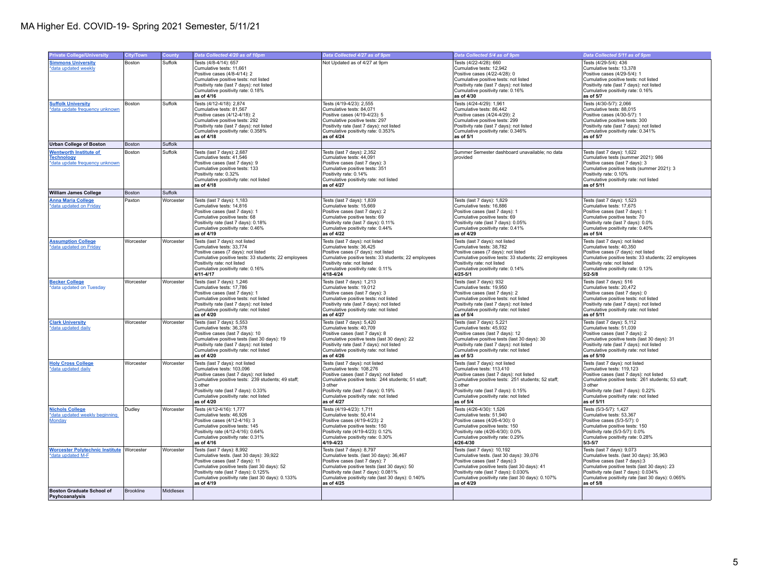| <b>Private College/University</b>                    | <b>City/Town</b> | County    | Data Collected 4/20 as of 10pm                                                   | Data Collected 4/27 as of 9pm                                                   | Data Collected 5/4 as of 9pm                                                     | Data Collected 5/11 as of 9pm                                                   |
|------------------------------------------------------|------------------|-----------|----------------------------------------------------------------------------------|---------------------------------------------------------------------------------|----------------------------------------------------------------------------------|---------------------------------------------------------------------------------|
| <b>Simmons University</b>                            | Boston           | Suffolk   | Tests (4/8-4/14): 657                                                            | Not Updated as of 4/27 at 9pm                                                   | Tests (4/22-4/28): 660                                                           | Tests (4/29-5/4): 436                                                           |
| *data updated weekly                                 |                  |           | Cumulative tests: 11.661                                                         |                                                                                 | Cumulative tests: 12.942                                                         | Cumulative tests: 13.378                                                        |
|                                                      |                  |           | Positive cases (4/8-4/14): 2                                                     |                                                                                 | Positive cases (4/22-4/28): 0                                                    | Positive cases (4/29-5/4): 1                                                    |
|                                                      |                  |           | Cumulative positive tests: not listed                                            |                                                                                 | Cumulative positive tests: not listed                                            | Cumulative positive tests: not listed                                           |
|                                                      |                  |           | Positivity rate (last 7 days): not listed                                        |                                                                                 | Positivity rate (last 7 days): not listed                                        | Positivity rate (last 7 days): not listed                                       |
|                                                      |                  |           | Cumulative positivity rate: 0.18%<br>as of 4/16                                  |                                                                                 | Cumulative positivity rate: 0.16%<br>as of 4/30                                  | Cumulative positivity rate: 0.16%<br>as of 5/7                                  |
|                                                      |                  |           |                                                                                  |                                                                                 |                                                                                  |                                                                                 |
| <b>Suffolk University</b>                            | Boston           | Suffolk   | Tests (4/12-4/18): 2,874                                                         | Tests (4/19-4/23): 2,555                                                        | Tests (4/24-4/29): 1,961                                                         | Tests (4/30-5/7): 2,066                                                         |
| *data update frequency unknown                       |                  |           | Cumulative tests: 81.567<br>Positive cases (4/12-4/18): 2                        | Cumulative tests: 84.071<br>Positive cases (4/19-4/23): 5                       | Cumulative tests: 86.442                                                         | Cumulative tests: 88.015<br>Positive cases (4/30-5/7): 1                        |
|                                                      |                  |           | Cumulative positive tests: 292                                                   | Cumulative positive tests: 297                                                  | Positive cases (4/24-4/29): 2<br>Cumulative positive tests: 299                  | Cumulative positive tests: 300                                                  |
|                                                      |                  |           | Positivity rate (last 7 days): not listed                                        | Positivity rate (last 7 days): not listed                                       | Positivity rate (last 7 days): not listed                                        | Positivity rate (last 7 days): not listed                                       |
|                                                      |                  |           | Cumulative positivity rate: 0.358%                                               | Cumulative positivity rate: 0.353%                                              | Cumulative positivity rate: 0.346%                                               | Cumulative positivity rate: 0.341%                                              |
|                                                      |                  |           | as of 4/18                                                                       | as of 4/24                                                                      | as of $5/1$                                                                      | as of 5/7                                                                       |
| <b>Urban College of Boston</b>                       | Boston           | Suffolk   |                                                                                  |                                                                                 |                                                                                  |                                                                                 |
| <b>Wentworth Institute of</b>                        | Boston           | Suffolk   | Tests (last 7 days): 2,687                                                       | Tests (last 7 days): 2,352                                                      | Summer Semester dashboard unavailable; no data                                   | Tests (last 7 days): 1,622                                                      |
| <b>Technology</b>                                    |                  |           | Cumulative tests: 41.546                                                         | Cumulative tests: 44.091                                                        | provided                                                                         | Cumulative tests (summer 2021): 986                                             |
| *data update frequency unknown                       |                  |           | Positive cases (last 7 days): 9                                                  | Positive cases (last 7 days): 3                                                 |                                                                                  | Positive cases (last 7 days): 3                                                 |
|                                                      |                  |           | Cumulative positive tests: 133                                                   | Cumulative positive tests: 351                                                  |                                                                                  | Cumulative positive tests (summer 2021): 3                                      |
|                                                      |                  |           | Positivity rate: 0.32%                                                           | Positivity rate: 0.14%                                                          |                                                                                  | Positivity rate: 0.10%                                                          |
|                                                      |                  |           | Cumulative positivity rate: not listed                                           | Cumulative positivity rate: not listed                                          |                                                                                  | Cumulative positivity rate: not listed                                          |
|                                                      |                  |           | as of 4/18                                                                       | as of 4/27                                                                      |                                                                                  | as of 5/11                                                                      |
| <b>William James College</b>                         | Boston           | Suffolk   |                                                                                  |                                                                                 |                                                                                  |                                                                                 |
| <b>Anna Maria College</b>                            | Paxton           | Worcester | Tests (last 7 days): 1,183                                                       | Tests (last 7 days): 1,839                                                      | Tests (last 7 days): 1,829                                                       | Tests (last 7 days): 1,523                                                      |
| *data updated on Friday                              |                  |           | Cumulative tests: 14,816                                                         | Cumulative tests: 15,669                                                        | Cumulative tests: 16,886                                                         | Cumulative tests: 17,675                                                        |
|                                                      |                  |           | Positive cases (last 7 days): 1                                                  | Positive cases (last 7 days): 2                                                 | Positive cases (last 7 days): 1                                                  | Positive cases (last 7 days): 1                                                 |
|                                                      |                  |           | Cumulative positive tests: 68                                                    | Cumulative positive tests: 69                                                   | Cumulative positive tests: 69                                                    | Cumulative positive tests: 70                                                   |
|                                                      |                  |           | Positivity rate (last 7 days): 0.18%                                             | Positivity rate (last 7 days): 0.11%                                            | Positivity rate (last 7 days): 0.05%                                             | Positivity rate (last 7 days): 0.0%                                             |
|                                                      |                  |           | Cumulative positivity rate: 0.46%<br>as of 4/19                                  | Cumulative positivity rate: 0.44%<br>as of 4/22                                 | Cumulative positivity rate: 0.41%<br>as of 4/29                                  | Cumulative positivity rate: 0.40%<br>as of 5/4                                  |
|                                                      |                  |           |                                                                                  |                                                                                 |                                                                                  |                                                                                 |
| <b>Assumption College</b><br>*data updated on Friday | Worcester        | Worcester | Tests (last 7 days): not listed<br>Cumulative tests: 33.774                      | Tests (last 7 days): not listed<br>Cumulative tests: 36.425                     | Tests (last 7 days): not listed<br>Cumulative tests: 38.782                      | Tests (last 7 days): not listed<br>Cumulative tests: 40.350                     |
|                                                      |                  |           | Positive cases (7 days): not listed                                              | Positive cases (7 days): not listed                                             | Positive cases (7 days): not listed                                              | Positive cases (7 days): not listed                                             |
|                                                      |                  |           | Cumulative positive tests: 33 students; 22 employees                             | Cumulative positive tests: 33 students; 22 employees                            | Cumulative positive tests: 33 students; 22 employees                             | Cumulative positive tests: 33 students; 22 employees                            |
|                                                      |                  |           | Positivity rate: not listed                                                      | Positivity rate: not listed                                                     | Positivity rate: not listed                                                      | Positivity rate: not listed                                                     |
|                                                      |                  |           | Cumulative positivity rate: 0.16%                                                | Cumulative positivity rate: 0.11%                                               | Cumulative positivity rate: 0.14%                                                | Cumulative positivity rate: 0.13%                                               |
|                                                      |                  |           | 4/11-4/17                                                                        | 4/18-4/24                                                                       | 4/25-5/1                                                                         | $5/2 - 5/8$                                                                     |
| <b>Becker College</b>                                | Worcester        | Worcester | Tests (last 7 days): 1,246                                                       | Tests (last 7 days): 1,213                                                      | Tests (last 7 days): 932                                                         | Tests (last 7 days): 516                                                        |
| *data updated on Tuesday                             |                  |           | Cumulative tests: 17.786                                                         | Cumulative tests: 19.012                                                        | Cumulative tests: 19.950                                                         | Cumulative tests: 20.472                                                        |
|                                                      |                  |           | Positive cases (last 7 days): 1                                                  | Positive cases (last 7 days): 3                                                 | Positive cases (last 7 days): 2                                                  | Positive cases (last 7 days): 0                                                 |
|                                                      |                  |           | Cumulative positive tests: not listed                                            | Cumulative positive tests: not listed                                           | Cumulative positive tests: not listed                                            | Cumulative positive tests: not listed                                           |
|                                                      |                  |           | Positivity rate (last 7 days): not listed                                        | Positivity rate (last 7 days): not listed                                       | Positivity rate (last 7 days): not listed                                        | Positivity rate (last 7 days): not listed                                       |
|                                                      |                  |           | Cumulative positivity rate: not listed                                           | Cumulative positivity rate: not listed                                          | Cumulative positivity rate: not listed                                           | Cumulative positivity rate: not listed                                          |
|                                                      |                  |           | as of 4/20                                                                       | as of 4/27                                                                      | as of $5/4$                                                                      | as of 5/11                                                                      |
| <b>Clark University</b>                              | Worcester        | Worcester | Tests (last 7 days): 5,553                                                       | Tests (last 7 days): 5,420                                                      | Tests (last 7 days): 5,221                                                       | Tests (last 7 days): 5,112                                                      |
| *data updated daily                                  |                  |           | Cumulative tests: 36.378                                                         | Cumulative tests: 40.709                                                        | Cumulative tests: 45.932                                                         | Cumulative tests: 51.039                                                        |
|                                                      |                  |           | Positive cases (last 7 days): 10<br>Cumulative positive tests (last 30 days): 19 | Positive cases (last 7 days): 8<br>Cumulative positive tests (last 30 days): 22 | Positive cases (last 7 days): 12<br>Cumulative positive tests (last 30 days): 30 | Positive cases (last 7 days): 2<br>Cumulative positive tests (last 30 days): 31 |
|                                                      |                  |           | Positivity rate (last 7 days); not listed                                        | Positivity rate (last 7 days); not listed                                       | Positivity rate (last 7 days); not listed                                        | Positivity rate (last 7 days); not listed                                       |
|                                                      |                  |           | Cumulative positivity rate: not listed                                           | Cumulative positivity rate: not listed                                          | Cumulative positivity rate: not listed                                           | Cumulative positivity rate: not listed                                          |
|                                                      |                  |           | as of 4/20                                                                       | as of 4/26                                                                      | as of 5/3                                                                        | as of 5/10                                                                      |
| <b>Holy Cross College</b>                            | Worcester        | Worcester | Tests (last 7 days): not listed                                                  | Tests (last 7 days): not listed                                                 | Tests (last 7 days): not listed                                                  | Tests (last 7 days): not listed                                                 |
| *data updated daily                                  |                  |           | Cumulative tests: 103.096                                                        | Cumulative tests: 108.276                                                       | Cumulative tests: 113.410                                                        | Cumulative tests: 119.123                                                       |
|                                                      |                  |           | Positive cases (last 7 days): not listed                                         | Positive cases (last 7 days): not listed                                        | Positive cases (last 7 days): not listed                                         | Positive cases (last 7 days): not listed                                        |
|                                                      |                  |           | Cumulative positive tests: 239 students; 49 staff;                               | Cumulative positive tests: 244 students; 51 staff;                              | Cumulative positive tests: 251 students; 52 staff;                               | Cumulative positive tests: 261 students; 53 staff;                              |
|                                                      |                  |           | 3 other                                                                          | 3 other                                                                         | 3 other                                                                          | 3 other                                                                         |
|                                                      |                  |           | Positivity rate (last 7 days): 0.33%                                             | Positivity rate (last 7 days): 0.19%                                            | Positivity rate (last 7 days): 0.15%                                             | Positivity rate (last 7 days): 0.22%                                            |
|                                                      |                  |           | Cumulative positivity rate: not listed<br>as of 4/20                             | Cumulative positivity rate: not listed<br>as of 4/27                            | Cumulative positivity rate: not listed<br>as of 5/4                              | Cumulative positivity rate: not listed<br>as of 5/11                            |
|                                                      |                  |           |                                                                                  |                                                                                 |                                                                                  |                                                                                 |
| <b>Nichols College</b>                               | Dudley           | Worcester | Tests (4/12-4/16): 1,777                                                         | Tests (4/19-4/23): 1,711                                                        | Tests (4/26-4/30): 1,526                                                         | Tests (5/3-5/7): 1,427                                                          |
| *data updated weekly beginning                       |                  |           | Cumulative tests: 46,926<br>Positive cases (4/12-4/16): 3                        | Cumulative tests: 50,414<br>Positive cases (4/19-4/23): 2                       | Cumulative tests: 51,940<br>Positive cases (4/26-4/30): 0                        | Cumulative tests: 53,367<br>Positive cases (5/3-5/7): 0                         |
| <b>Monday</b>                                        |                  |           | Cumulative positive tests: 145                                                   | Cumulative positive tests: 150                                                  | Cumulative positive tests: 150                                                   | Cumulative positive tests: 150                                                  |
|                                                      |                  |           | Positivity rate (4/12-4/16): 0.64%                                               | Positivity rate (4/19-4/23): 0.12%                                              | Positivity rate (4/26-4/30): 0.0%                                                | Positivity rate (5/3-5/7): 0.0%                                                 |
|                                                      |                  |           | Cumulative positivity rate: 0.31%                                                | Cumulative positivity rate: 0.30%                                               | Cumulative positivity rate: 0.29%                                                | Cumulative positivity rate: 0.28%                                               |
|                                                      |                  |           | as of 4/16                                                                       | 4/19-4/23                                                                       | 4/26-4/30                                                                        | $5/3 - 5/7$                                                                     |
| Worcester Polytechnic Institute Worcester            |                  | Worcester | Tests (last 7 days): 8,992                                                       | Tests (last 7 days): 8,797                                                      | Tests (last 7 days): 10,192                                                      | Tests (last 7 days): 9,073                                                      |
| *data updated M-F                                    |                  |           | Cumulative tests. (last 30 days): 39,922                                         | Cumulative tests. (last 30 days): 36,467                                        | Cumulative tests. (last 30 days): 39,076                                         | Cumulative tests. (last 30 days): 35,963                                        |
|                                                      |                  |           | Positive cases (last 7 days): 11                                                 | Positive cases (last 7 days): 7                                                 | Positive cases (last 7 days):3                                                   | Positive cases (last 7 days):3                                                  |
|                                                      |                  |           | Cumulative positive tests (last 30 days): 52                                     | Cumulative positive tests (last 30 days): 50                                    | Cumulative positive tests (last 30 days): 41                                     | Cumulative positive tests (last 30 days): 23                                    |
|                                                      |                  |           | Positivity rate (last 7 days): 0.125%                                            | Positivity rate (last 7 days): 0.081%                                           | Positivity rate (last 7 days): 0.030%                                            | Positivity rate (last 7 days): 0.034%                                           |
|                                                      |                  |           | Cumulative positivity rate (last 30 days): 0.133%<br>as of 4/19                  | Cumulative positivity rate (last 30 days): 0.140%<br>as of 4/25                 | Cumulative positivity rate (last 30 days): 0.107%<br>as of 4/29                  | Cumulative positivity rate (last 30 days): 0.065%<br>as of 5/8                  |
| <b>Boston Graduate School of</b>                     | <b>Brookline</b> | Middlesex |                                                                                  |                                                                                 |                                                                                  |                                                                                 |
| Psyhcoanalysis                                       |                  |           |                                                                                  |                                                                                 |                                                                                  |                                                                                 |
|                                                      |                  |           |                                                                                  |                                                                                 |                                                                                  |                                                                                 |